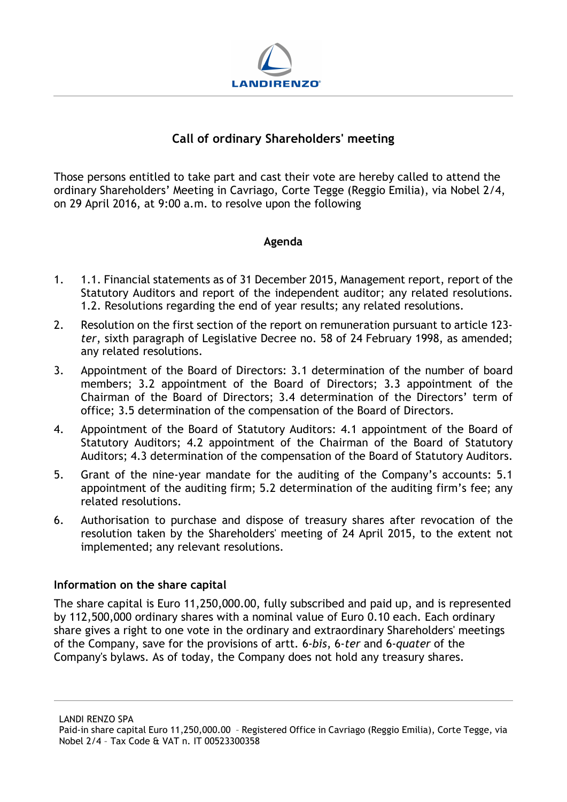

# Call of ordinary Shareholders' meeting

Those persons entitled to take part and cast their vote are hereby called to attend the ordinary Shareholders' Meeting in Cavriago, Corte Tegge (Reggio Emilia), via Nobel 2/4, on 29 April 2016, at 9:00 a.m. to resolve upon the following

## Agenda

- 1. 1.1. Financial statements as of 31 December 2015, Management report, report of the Statutory Auditors and report of the independent auditor; any related resolutions. 1.2. Resolutions regarding the end of year results; any related resolutions.
- 2. Resolution on the first section of the report on remuneration pursuant to article 123 ter, sixth paragraph of Legislative Decree no. 58 of 24 February 1998, as amended; any related resolutions.
- 3. Appointment of the Board of Directors: 3.1 determination of the number of board members; 3.2 appointment of the Board of Directors; 3.3 appointment of the Chairman of the Board of Directors; 3.4 determination of the Directors' term of office; 3.5 determination of the compensation of the Board of Directors.
- 4. Appointment of the Board of Statutory Auditors: 4.1 appointment of the Board of Statutory Auditors; 4.2 appointment of the Chairman of the Board of Statutory Auditors; 4.3 determination of the compensation of the Board of Statutory Auditors.
- 5. Grant of the nine-year mandate for the auditing of the Company's accounts: 5.1 appointment of the auditing firm; 5.2 determination of the auditing firm's fee; any related resolutions.
- 6. Authorisation to purchase and dispose of treasury shares after revocation of the resolution taken by the Shareholders' meeting of 24 April 2015, to the extent not implemented; any relevant resolutions.

#### Information on the share capital

The share capital is Euro 11,250,000.00, fully subscribed and paid up, and is represented by 112,500,000 ordinary shares with a nominal value of Euro 0.10 each. Each ordinary share gives a right to one vote in the ordinary and extraordinary Shareholders' meetings of the Company, save for the provisions of artt. 6-bis, 6-ter and 6-quater of the Company's bylaws. As of today, the Company does not hold any treasury shares.

Paid-in share capital Euro 11,250,000.00 – Registered Office in Cavriago (Reggio Emilia), Corte Tegge, via Nobel 2/4 – Tax Code & VAT n. IT 00523300358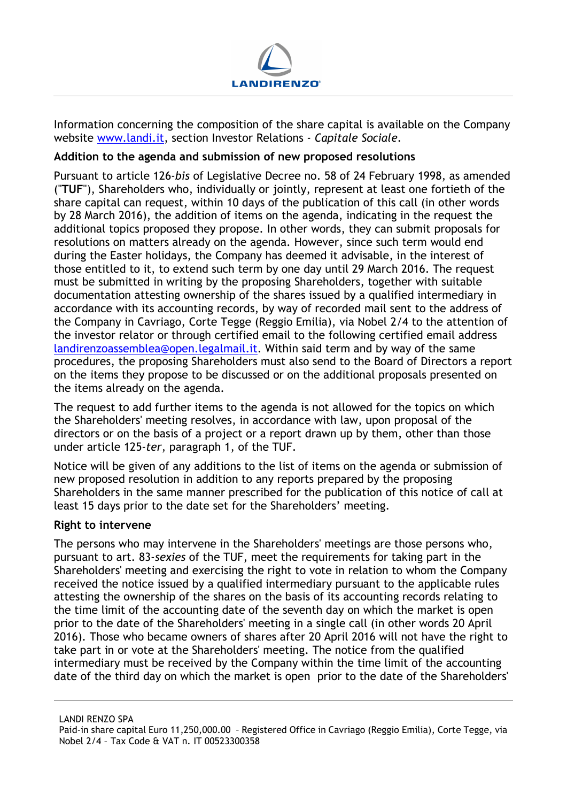

Information concerning the composition of the share capital is available on the Company website www.landi.it, section Investor Relations - Capitale Sociale.

#### Addition to the agenda and submission of new proposed resolutions

Pursuant to article 126-bis of Legislative Decree no. 58 of 24 February 1998, as amended ("TUF"), Shareholders who, individually or jointly, represent at least one fortieth of the share capital can request, within 10 days of the publication of this call (in other words by 28 March 2016), the addition of items on the agenda, indicating in the request the additional topics proposed they propose. In other words, they can submit proposals for resolutions on matters already on the agenda. However, since such term would end during the Easter holidays, the Company has deemed it advisable, in the interest of those entitled to it, to extend such term by one day until 29 March 2016. The request must be submitted in writing by the proposing Shareholders, together with suitable documentation attesting ownership of the shares issued by a qualified intermediary in accordance with its accounting records, by way of recorded mail sent to the address of the Company in Cavriago, Corte Tegge (Reggio Emilia), via Nobel 2/4 to the attention of the investor relator or through certified email to the following certified email address landirenzoassemblea@open.legalmail.it. Within said term and by way of the same procedures, the proposing Shareholders must also send to the Board of Directors a report on the items they propose to be discussed or on the additional proposals presented on the items already on the agenda.

The request to add further items to the agenda is not allowed for the topics on which the Shareholders' meeting resolves, in accordance with law, upon proposal of the directors or on the basis of a project or a report drawn up by them, other than those under article 125-ter, paragraph 1, of the TUF.

Notice will be given of any additions to the list of items on the agenda or submission of new proposed resolution in addition to any reports prepared by the proposing Shareholders in the same manner prescribed for the publication of this notice of call at least 15 days prior to the date set for the Shareholders' meeting.

#### Right to intervene

The persons who may intervene in the Shareholders' meetings are those persons who, pursuant to art. 83-sexies of the TUF, meet the requirements for taking part in the Shareholders' meeting and exercising the right to vote in relation to whom the Company received the notice issued by a qualified intermediary pursuant to the applicable rules attesting the ownership of the shares on the basis of its accounting records relating to the time limit of the accounting date of the seventh day on which the market is open prior to the date of the Shareholders' meeting in a single call (in other words 20 April 2016). Those who became owners of shares after 20 April 2016 will not have the right to take part in or vote at the Shareholders' meeting. The notice from the qualified intermediary must be received by the Company within the time limit of the accounting date of the third day on which the market is open prior to the date of the Shareholders'

Paid-in share capital Euro 11,250,000.00 – Registered Office in Cavriago (Reggio Emilia), Corte Tegge, via Nobel 2/4 – Tax Code & VAT n. IT 00523300358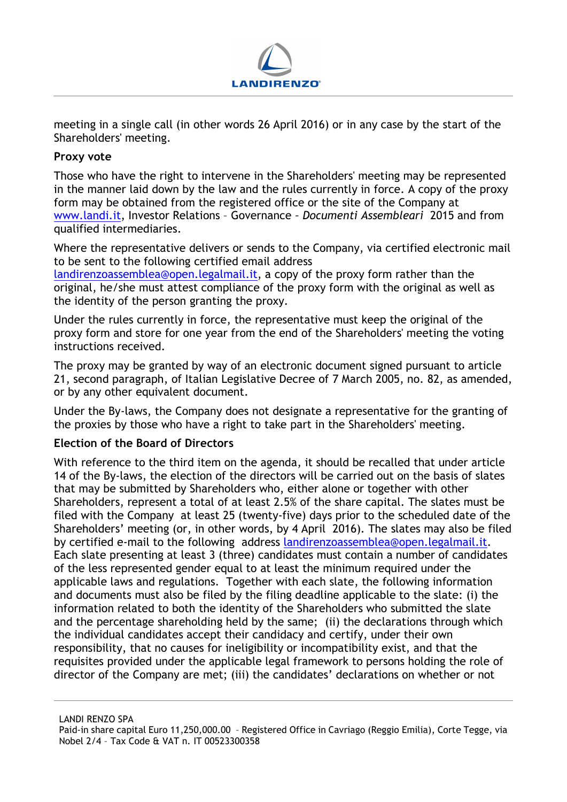

meeting in a single call (in other words 26 April 2016) or in any case by the start of the Shareholders' meeting.

### Proxy vote

Those who have the right to intervene in the Shareholders' meeting may be represented in the manner laid down by the law and the rules currently in force. A copy of the proxy form may be obtained from the registered office or the site of the Company at www.landi.it, Investor Relations – Governance – Documenti Assembleari 2015 and from qualified intermediaries.

Where the representative delivers or sends to the Company, via certified electronic mail to be sent to the following certified email address

landirenzoassemblea@open.legalmail.it, a copy of the proxy form rather than the original, he/she must attest compliance of the proxy form with the original as well as the identity of the person granting the proxy.

Under the rules currently in force, the representative must keep the original of the proxy form and store for one year from the end of the Shareholders' meeting the voting instructions received.

The proxy may be granted by way of an electronic document signed pursuant to article 21, second paragraph, of Italian Legislative Decree of 7 March 2005, no. 82, as amended, or by any other equivalent document.

Under the By-laws, the Company does not designate a representative for the granting of the proxies by those who have a right to take part in the Shareholders' meeting.

#### Election of the Board of Directors

With reference to the third item on the agenda, it should be recalled that under article 14 of the By-laws, the election of the directors will be carried out on the basis of slates that may be submitted by Shareholders who, either alone or together with other Shareholders, represent a total of at least 2.5% of the share capital. The slates must be filed with the Company at least 25 (twenty-five) days prior to the scheduled date of the Shareholders' meeting (or, in other words, by 4 April 2016). The slates may also be filed by certified e-mail to the following address landirenzoassemblea@open.legalmail.it. Each slate presenting at least 3 (three) candidates must contain a number of candidates of the less represented gender equal to at least the minimum required under the applicable laws and regulations. Together with each slate, the following information and documents must also be filed by the filing deadline applicable to the slate: (i) the information related to both the identity of the Shareholders who submitted the slate and the percentage shareholding held by the same; (ii) the declarations through which the individual candidates accept their candidacy and certify, under their own responsibility, that no causes for ineligibility or incompatibility exist, and that the requisites provided under the applicable legal framework to persons holding the role of director of the Company are met; (iii) the candidates' declarations on whether or not

Paid-in share capital Euro 11,250,000.00 – Registered Office in Cavriago (Reggio Emilia), Corte Tegge, via Nobel 2/4 – Tax Code & VAT n. IT 00523300358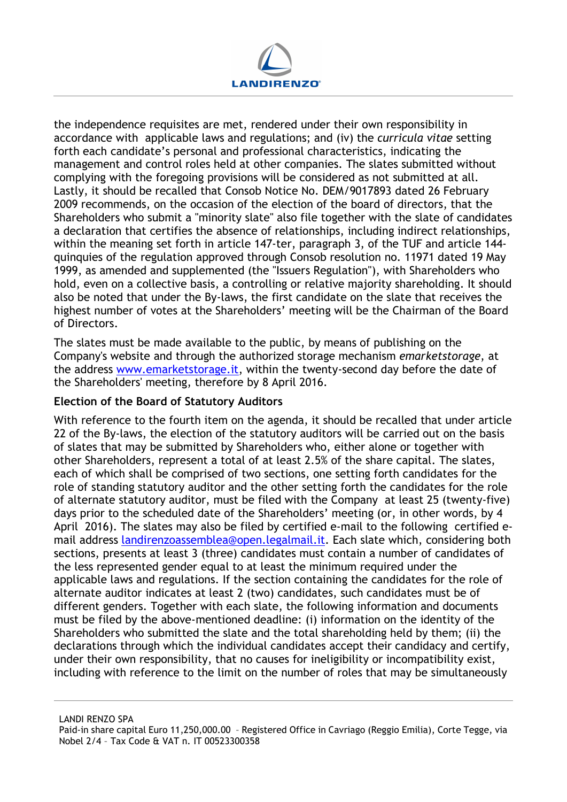

the independence requisites are met, rendered under their own responsibility in accordance with applicable laws and regulations; and (iv) the curricula vitae setting forth each candidate's personal and professional characteristics, indicating the management and control roles held at other companies. The slates submitted without complying with the foregoing provisions will be considered as not submitted at all. Lastly, it should be recalled that Consob Notice No. DEM/9017893 dated 26 February 2009 recommends, on the occasion of the election of the board of directors, that the Shareholders who submit a "minority slate" also file together with the slate of candidates a declaration that certifies the absence of relationships, including indirect relationships, within the meaning set forth in article 147-ter, paragraph 3, of the TUF and article 144 quinquies of the regulation approved through Consob resolution no. 11971 dated 19 May 1999, as amended and supplemented (the "Issuers Regulation"), with Shareholders who hold, even on a collective basis, a controlling or relative majority shareholding. It should also be noted that under the By-laws, the first candidate on the slate that receives the highest number of votes at the Shareholders' meeting will be the Chairman of the Board of Directors.

The slates must be made available to the public, by means of publishing on the Company's website and through the authorized storage mechanism emarketstorage, at the address www.emarketstorage.it, within the twenty-second day before the date of the Shareholders' meeting, therefore by 8 April 2016.

#### Election of the Board of Statutory Auditors

With reference to the fourth item on the agenda, it should be recalled that under article 22 of the By-laws, the election of the statutory auditors will be carried out on the basis of slates that may be submitted by Shareholders who, either alone or together with other Shareholders, represent a total of at least 2.5% of the share capital. The slates, each of which shall be comprised of two sections, one setting forth candidates for the role of standing statutory auditor and the other setting forth the candidates for the role of alternate statutory auditor, must be filed with the Company at least 25 (twenty-five) days prior to the scheduled date of the Shareholders' meeting (or, in other words, by 4 April 2016). The slates may also be filed by certified e-mail to the following certified email address landirenzoassemblea@open.legalmail.it. Each slate which, considering both sections, presents at least 3 (three) candidates must contain a number of candidates of the less represented gender equal to at least the minimum required under the applicable laws and regulations. If the section containing the candidates for the role of alternate auditor indicates at least 2 (two) candidates, such candidates must be of different genders. Together with each slate, the following information and documents must be filed by the above-mentioned deadline: (i) information on the identity of the Shareholders who submitted the slate and the total shareholding held by them; (ii) the declarations through which the individual candidates accept their candidacy and certify, under their own responsibility, that no causes for ineligibility or incompatibility exist, including with reference to the limit on the number of roles that may be simultaneously

Paid-in share capital Euro 11,250,000.00 – Registered Office in Cavriago (Reggio Emilia), Corte Tegge, via Nobel 2/4 – Tax Code & VAT n. IT 00523300358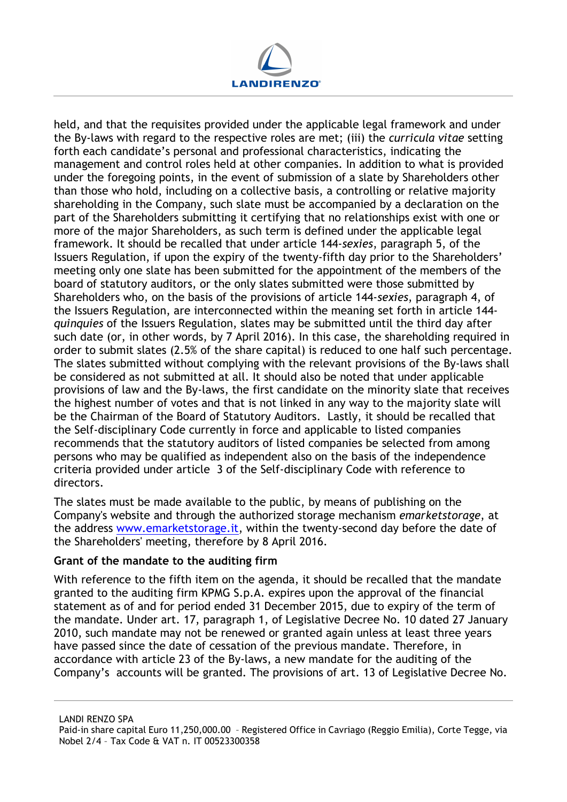

held, and that the requisites provided under the applicable legal framework and under the By-laws with regard to the respective roles are met; (iii) the curricula vitae setting forth each candidate's personal and professional characteristics, indicating the management and control roles held at other companies. In addition to what is provided under the foregoing points, in the event of submission of a slate by Shareholders other than those who hold, including on a collective basis, a controlling or relative majority shareholding in the Company, such slate must be accompanied by a declaration on the part of the Shareholders submitting it certifying that no relationships exist with one or more of the major Shareholders, as such term is defined under the applicable legal framework. It should be recalled that under article 144-sexies, paragraph 5, of the Issuers Regulation, if upon the expiry of the twenty-fifth day prior to the Shareholders' meeting only one slate has been submitted for the appointment of the members of the board of statutory auditors, or the only slates submitted were those submitted by Shareholders who, on the basis of the provisions of article 144-sexies, paragraph 4, of the Issuers Regulation, are interconnected within the meaning set forth in article 144 quinquies of the Issuers Regulation, slates may be submitted until the third day after such date (or, in other words, by 7 April 2016). In this case, the shareholding required in order to submit slates (2.5% of the share capital) is reduced to one half such percentage. The slates submitted without complying with the relevant provisions of the By-laws shall be considered as not submitted at all. It should also be noted that under applicable provisions of law and the By-laws, the first candidate on the minority slate that receives the highest number of votes and that is not linked in any way to the majority slate will be the Chairman of the Board of Statutory Auditors. Lastly, it should be recalled that the Self-disciplinary Code currently in force and applicable to listed companies recommends that the statutory auditors of listed companies be selected from among persons who may be qualified as independent also on the basis of the independence criteria provided under article 3 of the Self-disciplinary Code with reference to directors.

The slates must be made available to the public, by means of publishing on the Company's website and through the authorized storage mechanism emarketstorage, at the address www.emarketstorage.it, within the twenty-second day before the date of the Shareholders' meeting, therefore by 8 April 2016.

#### Grant of the mandate to the auditing firm

With reference to the fifth item on the agenda, it should be recalled that the mandate granted to the auditing firm KPMG S.p.A. expires upon the approval of the financial statement as of and for period ended 31 December 2015, due to expiry of the term of the mandate. Under art. 17, paragraph 1, of Legislative Decree No. 10 dated 27 January 2010, such mandate may not be renewed or granted again unless at least three years have passed since the date of cessation of the previous mandate. Therefore, in accordance with article 23 of the By-laws, a new mandate for the auditing of the Company's accounts will be granted. The provisions of art. 13 of Legislative Decree No.

Paid-in share capital Euro 11,250,000.00 – Registered Office in Cavriago (Reggio Emilia), Corte Tegge, via Nobel 2/4 – Tax Code & VAT n. IT 00523300358